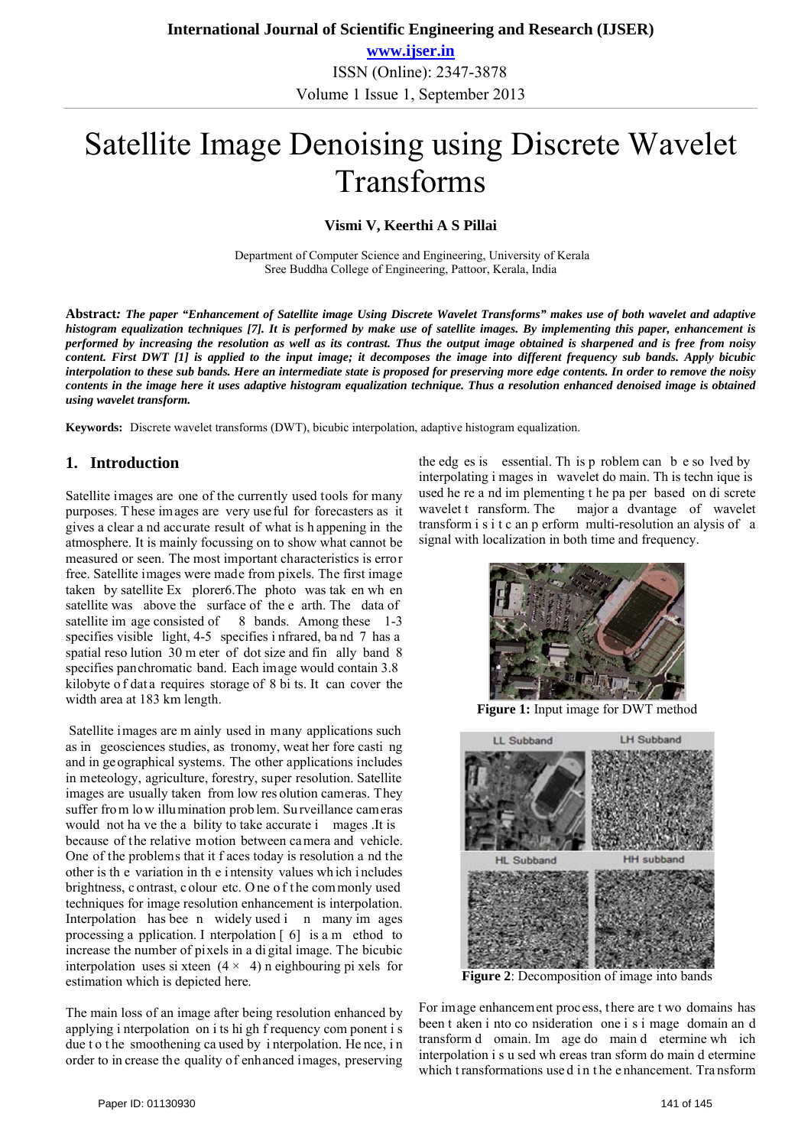**www.ijser.in** ISSN (Online): 2347-3878 Volume 1 Issue 1, September 2013

# Satellite Image Denoising using Discrete Wavelet Transforms

### **Vismi V, Keerthi A S Pillai**

 Department of Computer Science and Engineering, University of Kerala Sree Buddha College of Engineering, Pattoor, Kerala, India

**Abstract***: The paper "Enhancement of Satellite image Using Discrete Wavelet Transforms" makes use of both wavelet and adaptive histogram equalization techniques [7]. It is performed by make use of satellite images. By implementing this paper, enhancement is performed by increasing the resolution as well as its contrast. Thus the output image obtained is sharpened and is free from noisy content. First DWT [1] is applied to the input image; it decomposes the image into different frequency sub bands. Apply bicubic interpolation to these sub bands. Here an intermediate state is proposed for preserving more edge contents. In order to remove the noisy contents in the image here it uses adaptive histogram equalization technique. Thus a resolution enhanced denoised image is obtained using wavelet transform.*

**Keywords:** Discrete wavelet transforms (DWT), bicubic interpolation, adaptive histogram equalization.

## **1. Introduction**

Satellite images are one of the currently used tools for many purposes. These images are very useful for forecasters as it gives a clear a nd accurate result of what is h appening in the atmosphere. It is mainly focussing on to show what cannot be measured or seen. The most important characteristics is error free. Satellite images were made from pixels. The first image taken by satellite Ex plorer6.The photo was tak en wh en satellite was above the surface of the e arth. The data of satellite im age consisted of 8 bands. Among these 1-3 specifies visible light, 4-5 specifies i nfrared, band 7 has a spatial reso lution 30 m eter of dot size and fin ally band 8 specifies panchromatic band. Each image would contain 3.8 kilobyte of data requires storage of 8 bi ts. It can cover the width area at 183 km length.

 Satellite images are m ainly used in many applications such as in geosciences studies, as tronomy, weat her fore casti ng and in geographical systems. The other applications includes in meteology, agriculture, forestry, super resolution. Satellite images are usually taken from low res olution cameras. They suffer from low illumination problem. Su rveillance cameras would not ha ve the a bility to take accurate i mages .It is because of the relative motion between camera and vehicle. One of the problems that it f aces today is resolution a nd the other is th e variation in th e i ntensity values wh ich i ncludes brightness, c ontrast, c olour etc. O ne o f t he com monly used techniques for image resolution enhancement is interpolation. Interpolation has bee n widely used i n many im ages processing a pplication. I nterpolation  $\lceil 6 \rceil$  is a m ethod to increase the number of pixels in a di gital image. The bicubic interpolation uses si xteen  $(4 \times 4)$  n eighbouring pi xels for estimation which is depicted here.

The main loss of an image after being resolution enhanced by applying i nterpolation on i ts hi gh f requency com ponent i s due t o t he smoothening ca used by i nterpolation. He nce, in order to in crease the quality of enhanced images, preserving

the edg es is essential. Th is p roblem can b e so lved by interpolating i mages in wavelet do main. Th is techn ique is used he re a nd im plementing t he pa per based on di screte wavelet t ransform. The major a dvantage of wavelet transform i s i t c an p erform multi-resolution an alysis of a signal with localization in both time and frequency.



**Figure 1:** Input image for DWT method



**Figure 2**: Decomposition of image into bands

For image enhancement process, there are t wo domains has been t aken i nto co nsideration one i s i mage domain an d transform d omain. Im age do main d etermine wh ich interpolation i s u sed wh ereas tran sform do main d etermine which t ransformations use d i n t he e nhancement. Tra nsform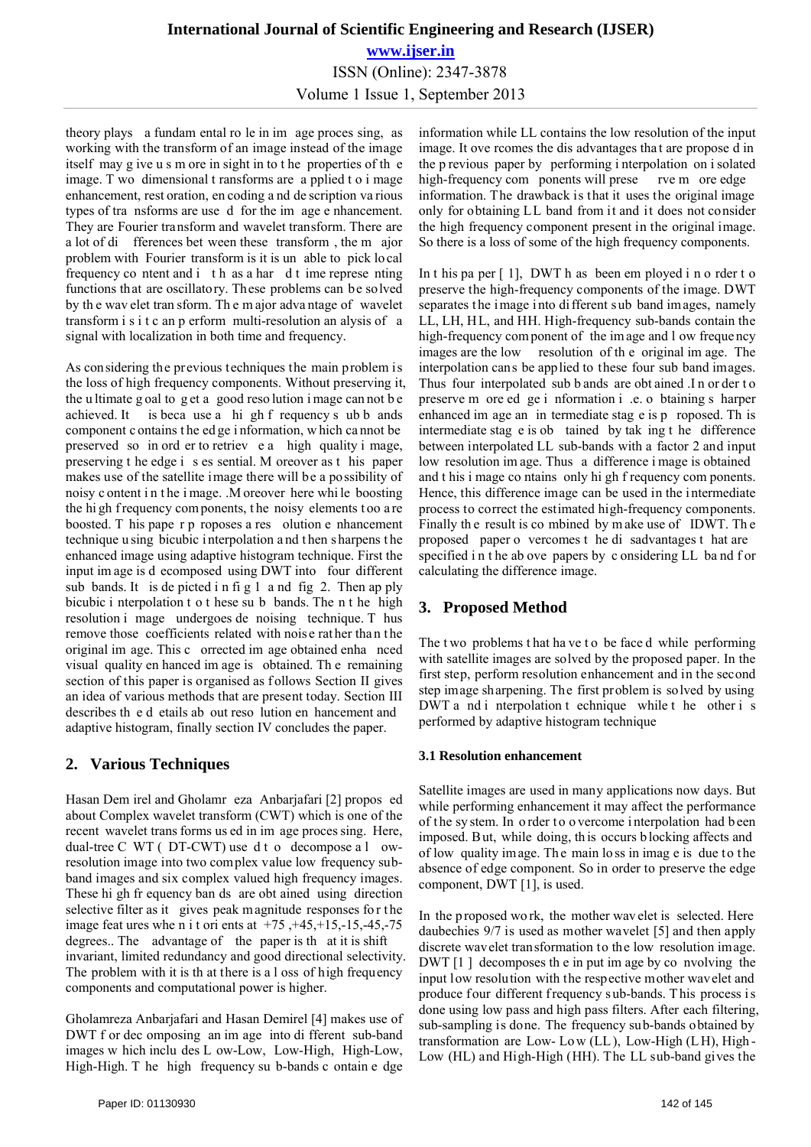# **International Journal of Scientific Engineering and Research (IJSER) www.ijser.in** ISSN (Online): 2347-3878 Volume 1 Issue 1, September 2013

theory plays a fundam ental ro le in im age proces sing, as working with the transform of an image instead of the image itself may g ive u s m ore in sight in to t he properties of th e image. T wo dimensional t ransforms are a pplied t o i mage enhancement, rest oration, en coding a nd de scription va rious types of tra nsforms are use d for the im age e nhancement. They are Fourier transform and wavelet transform. There are a lot of di fferences bet ween these transform , the m ajor problem with Fourier transform is it is un able to pick lo cal frequency co ntent and i t h as a har d t ime represe nting functions that are oscillatory. These problems can be solved by th e wav elet tran sform. Th e m ajor adva ntage of wavelet transform i s i t c an p erform multi-resolution an alysis of a signal with localization in both time and frequency.

As considering the previous techniques the main problem is the loss of high frequency components. Without preserving it, the u ltimate g oal to g et a good reso lution i mage can not b e achieved. It is beca use a hi gh f requency s ub b ands component c ontains t he ed ge i nformation, w hich ca nnot be preserved so in ord er to retriev e a high quality i mage, preserving t he edge i s es sential. M oreover as t his paper makes use of the satellite image there will be a possibility of noisy c ontent i n t he i mage. .M oreover here whi le boosting the hi gh f requency com ponents, the noisy elements too a re boosted. T his pape r p roposes a res olution e nhancement technique u sing bicubic i nterpolation a nd t hen s harpens t he enhanced image using adaptive histogram technique. First the input im age is d ecomposed using DWT into four different sub bands. It is de picted i n fi g 1 a nd fig 2. Then ap ply bicubic i nterpolation t o t hese su b bands. The n t he high resolution i mage undergoes de noising technique. T hus remove those coefficients related with noise rather than the original im age. This c orrected im age obtained enha nced visual quality en hanced im age is obtained. Th e remaining section of this paper is organised as follows Section II gives an idea of various methods that are present today. Section III describes th e d etails ab out reso lution en hancement and adaptive histogram, finally section IV concludes the paper.

# **2. Various Techniques**

Hasan Dem irel and Gholamr eza Anbarjafari [2] propos ed about Complex wavelet transform (CWT) which is one of the recent wavelet trans forms us ed in im age proces sing. Here, dual-tree C WT ( DT-CWT) use d t o decompose a l owresolution image into two complex value low frequency subband images and six complex valued high frequency images. These hi gh fr equency ban ds are obt ained using direction selective filter as it gives peak magnitude responses for the image feat ures whe n i t ori ents at  $+75, +45, +15, -15, -45, -75$ degrees.. The advantage of the paper is th at it is shift invariant, limited redundancy and good directional selectivity. The problem with it is th at there is a l oss of high frequency components and computational power is higher.

Gholamreza Anbarjafari and Hasan Demirel [4] makes use of DWT f or dec omposing an im age into di fferent sub-band images w hich inclu des L ow-Low, Low-High, High-Low, High-High. T he high frequency su b-bands c ontain e dge

information while LL contains the low resolution of the input image. It ove rcomes the dis advantages tha t are propose d in the p revious paper by performing i nterpolation on i solated high-frequency com ponents will prese rve m ore edge information. The drawback is that it uses the original image only for obtaining LL band from it and it does not consider the high frequency component present in the original image. So there is a loss of some of the high frequency components.

In t his pa per [ 1], DWT h as been em ployed i n o rder t o preserve the high-frequency components of the image. DWT separates the image into different sub band images, namely LL, LH, HL, and HH. High-frequency sub-bands contain the high-frequency com ponent of the im age and l ow freque ncy images are the low resolution of th e original im age. The interpolation cans be applied to these four sub band images. Thus four interpolated sub b ands are obt ained .In order to preserve m ore ed ge i nformation i .e. o btaining s harper enhanced im age an in termediate stag e is p roposed. Th is intermediate stag e is ob tained by tak ing t he difference between interpolated LL sub-bands with a factor 2 and input low resolution im age. Thus a difference i mage is obtained and t his i mage co ntains only hi gh f requency com ponents. Hence, this difference image can be used in the i ntermediate process to correct the estimated high-frequency components. Finally th e result is co mbined by m ake use of IDWT. Th e proposed paper o vercomes t he di sadvantages t hat are specified in the ab ove papers by c onsidering LL band for calculating the difference image.

# **3. Proposed Method**

The two problems that ha ve to be face d while performing with satellite images are solved by the proposed paper. In the first step, perform resolution enhancement and in the second step image sharpening. The first problem is solved by using DWT a nd i nterpolation t echnique while t he other i s performed by adaptive histogram technique

## **3.1 Resolution enhancement**

Satellite images are used in many applications now days. But while performing enhancement it may affect the performance of t he sy stem. In o rder t o o vercome i nterpolation had b een imposed. But, while doing, th is occurs b locking affects and of low quality image. Th e main lo ss in imag e is due to the absence of edge component. So in order to preserve the edge component, DWT [1], is used.

In the p roposed wo rk, the mother wav elet is selected. Here daubechies 9/7 is used as mother wavelet [5] and then apply discrete wavelet transformation to the low resolution image. DWT [1 ] decomposes th e in put im age by co nvolving the input low resolution with the respective mother wavelet and produce four different frequency sub-bands. This process is done using low pass and high pass filters. After each filtering, sub-sampling is done. The frequency sub-bands obtained by transformation are Low- Lo w (LL ), Low-High (L H), High - Low (HL) and High-High (HH). The LL sub-band gives the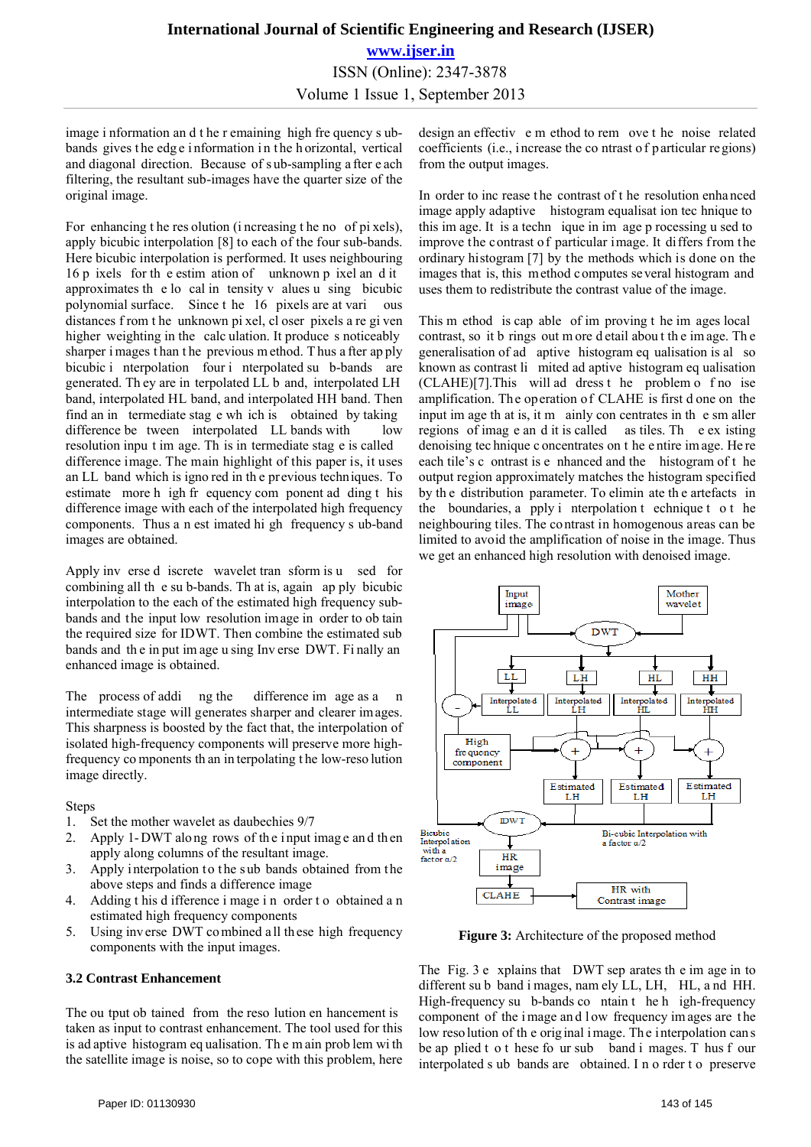image i nformation an d t he r emaining high fre quency s ubbands gives the edge information in the h orizontal, vertical and diagonal direction. Because of s ub-sampling a fter e ach filtering, the resultant sub-images have the quarter size of the original image.

For enhancing t he res olution (i ncreasing t he no of pi xels), apply bicubic interpolation [8] to each of the four sub-bands. Here bicubic interpolation is performed. It uses neighbouring 16 p ixels for th e estim ation of unknown p ixel an d it approximates th e lo cal in tensity v alues u sing bicubic polynomial surface. Since t he 16 pixels are at vari ous distances f rom t he unknown pi xel, cl oser pixels a re gi ven higher weighting in the calc ulation. It produce s noticeably sharper i mages t han t he previous m ethod. T hus a fter ap ply bicubic i nterpolation four i nterpolated su b-bands are generated. Th ey are in terpolated LL b and, interpolated LH band, interpolated HL band, and interpolated HH band. Then find an in termediate stag e wh ich is obtained by taking difference be tween interpolated LL bands with low resolution inpu t im age. Th is in termediate stag e is called difference image. The main highlight of this paper is, it uses an LL band which is igno red in th e previous techniques. To estimate more h igh fr equency com ponent ad ding t his difference image with each of the interpolated high frequency components. Thus a n est imated hi gh frequency s ub-band images are obtained.

Apply inv erse d iscrete wavelet tran sform is u sed for combining all th e su b-bands. Th at is, again ap ply bicubic interpolation to the each of the estimated high frequency subbands and the input low resolution image in order to ob tain the required size for IDWT. Then combine the estimated sub bands and th e in put im age u sing Inv erse DWT. Fi nally an enhanced image is obtained.

The process of addi ng the difference im age as a n intermediate stage will generates sharper and clearer images. This sharpness is boosted by the fact that, the interpolation of isolated high-frequency components will preserve more highfrequency co mponents th an in terpolating t he low-reso lution image directly.

#### Steps

- 1. Set the mother wavelet as daubechies 9/7
- 2. Apply 1-DWT along rows of the input image and then apply along columns of the resultant image.
- 3. Apply interpolation to the sub bands obtained from the above steps and finds a difference image
- 4. Adding t his d ifference i mage i n order t o obtained a n estimated high frequency components
- 5. Using inv erse DWT co mbined a ll th ese high frequency components with the input images.

#### **3.2 Contrast Enhancement**

The ou tput ob tained from the reso lution en hancement is taken as input to contrast enhancement. The tool used for this is ad aptive histogram eq ualisation. Th e m ain prob lem wi th the satellite image is noise, so to cope with this problem, here

design an effectiv e m ethod to rem ove t he noise related coefficients (i.e., i ncrease the co ntrast of particular regions) from the output images.

In order to inc rease t he contrast of t he resolution enha nced image apply adaptive histogram equalisat ion tec hnique to this im age. It is a techn ique in im age p rocessing u sed to improve the contrast of particular image. It differs from the ordinary histogram [7] by the methods which is done on the images that is, this method computes several histogram and uses them to redistribute the contrast value of the image.

This m ethod is cap able of im proving t he im ages local contrast, so it b rings out m ore d etail abou t th e im age. Th e generalisation of ad aptive histogram eq ualisation is al so known as contrast li mited ad aptive histogram eq ualisation (CLAHE)[7].This will ad dress t he problem o f no ise amplification. The operation of CLAHE is first d one on the input im age th at is, it m ainly con centrates in the sm aller regions of imag e an d it is called as tiles. Th e ex isting denoising tec hnique c oncentrates on t he e ntire im age. He re each tile's c ontrast is e nhanced and the histogram of t he output region approximately matches the histogram specified by th e distribution parameter. To elimin ate th e artefacts in the boundaries, a pply i nterpolation t echnique t o t he neighbouring tiles. The contrast in homogenous areas can be limited to avoid the amplification of noise in the image. Thus we get an enhanced high resolution with denoised image.



**Figure 3:** Architecture of the proposed method

The Fig. 3 e xplains that DWT sep arates th e im age in to different su b band i mages, nam ely LL, LH, HL, a nd HH. High-frequency su b-bands co ntain t he h igh-frequency component of the i mage an d l ow frequency im ages are t he low reso lution of the original image. The interpolation can s be ap plied t o t hese fo ur sub band i mages. T hus f our interpolated s ub bands are obtained. I n o rder t o preserve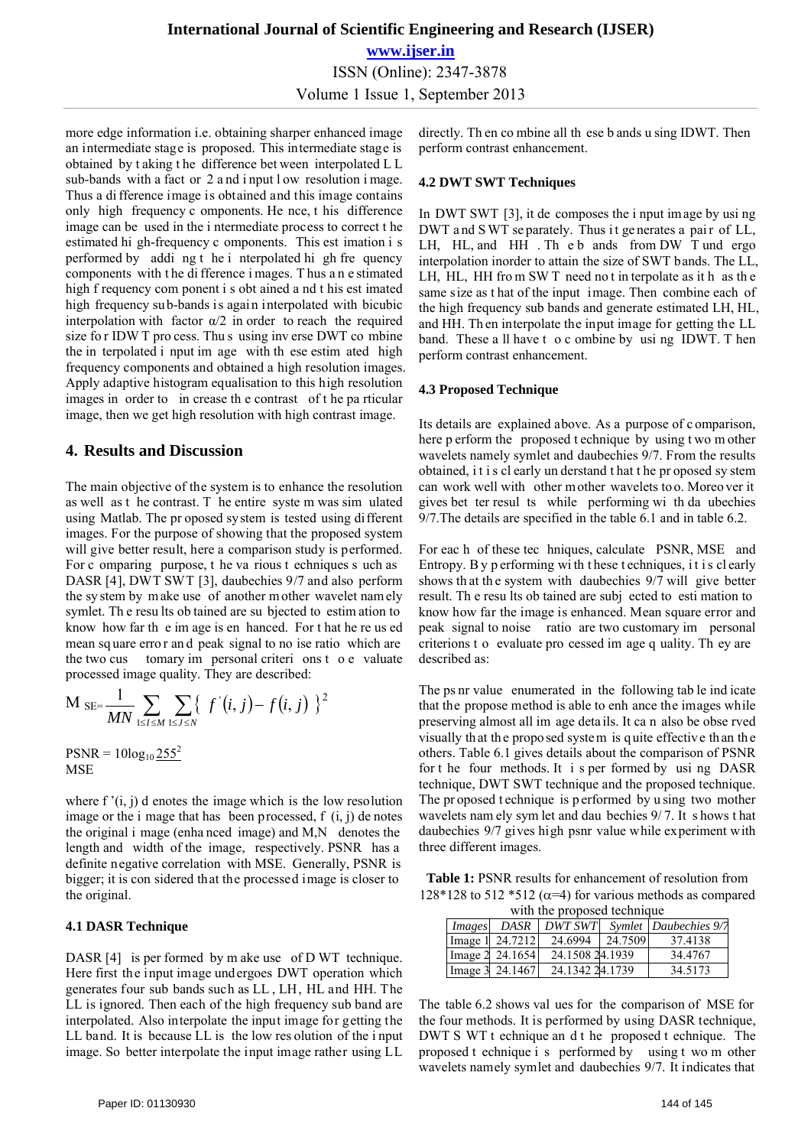# **International Journal of Scientific Engineering and Research (IJSER) www.ijser.in** ISSN (Online): 2347-3878 Volume 1 Issue 1, September 2013

more edge information i.e. obtaining sharper enhanced image an intermediate stage is proposed. This intermediate stage is obtained by t aking t he difference bet ween interpolated L L sub-bands with a fact or 2 a nd i nput l ow resolution i mage. Thus a di fference image is obtained and this image contains only high frequency c omponents. He nce, t his difference image can be used in the i ntermediate process to correct t he estimated hi gh-frequency c omponents. This est imation i s performed by addi ng t he i nterpolated hi gh fre quency components with t he di fference i mages. T hus a n e stimated high f requency com ponent i s obt ained a nd t his est imated high frequency sub-bands is again interpolated with bicubic interpolation with factor  $\alpha/2$  in order to reach the required size fo r IDW T pro cess. Thu s using inv erse DWT co mbine the in terpolated i nput im age with th ese estim ated high frequency components and obtained a high resolution images. Apply adaptive histogram equalisation to this high resolution images in order to in crease th e contrast of t he pa rticular image, then we get high resolution with high contrast image.

### **4. Results and Discussion**

The main objective of the system is to enhance the resolution as well as t he contrast. T he entire syste m was sim ulated using Matlab. The pr oposed system is tested using different images. For the purpose of showing that the proposed system will give better result, here a comparison study is performed. For c omparing purpose, t he va rious t echniques s uch as DASR [4], DWT SWT [3], daubechies 9/7 and also perform the sy stem by m ake use of another m other wavelet nam ely symlet. Th e resu lts ob tained are su bjected to estim ation to know how far th e im age is en hanced. For t hat he re us ed mean sq uare erro r an d peak signal to no ise ratio which are the two cus tomary im personal criteri ons t o e valuate processed image quality. They are described:

$$
M_{SE} = \frac{1}{MN} \sum_{1 \leq l \leq M} \sum_{1 \leq J \leq N} \{ f'(i, j) - f(i, j) \}^2
$$

 $PSNR = 10log_{10} \frac{255^2}{255^2}$ **MSE** 

where  $f'(i, j)$  d enotes the image which is the low resolution image or the i mage that has been processed,  $f(i, j)$  de notes the original i mage (enha nced image) and M,N denotes the length and width of the image, respectively. PSNR has a definite negative correlation with MSE. Generally, PSNR is bigger; it is con sidered that the processed image is closer to the original.

### **4.1 DASR Technique**

DASR [4] is per formed by m ake use of D WT technique. Here first the input image undergoes DWT operation which generates four sub bands such as LL , LH, HL and HH. The LL is ignored. Then each of the high frequency sub band are interpolated. Also interpolate the input image for getting the LL band. It is because LL is the low res olution of the i nput image. So better interpolate the input image rather using LL

### **4.2 DWT SWT Techniques**

In DWT SWT [3], it de composes the i nput image by usi ng DWT and SWT se parately. Thus it generates a pair of LL, LH, HL, and HH. The b ands from DW T und ergo interpolation inorder to attain the size of SWT bands. The LL, LH, HL, HH from SWT need not in terpolate as it h as the same size as t hat of the input image. Then combine each of the high frequency sub bands and generate estimated LH, HL, and HH. Th en interpolate the input image for getting the LL band. These a ll have t o c ombine by usi ng IDWT. T hen perform contrast enhancement.

### **4.3 Proposed Technique**

Its details are explained above. As a purpose of c omparison, here p erform the proposed t echnique by using t wo m other wavelets namely symlet and daubechies 9/7. From the results obtained, i t i s cl early un derstand t hat t he pr oposed sy stem can work well with other mother wavelets to o. Moreo ver it gives bet ter resul ts while performing wi th da ubechies 9/7.The details are specified in the table 6.1 and in table 6.2.

For eac h of these tec hniques, calculate PSNR, MSE and Entropy. B y p erforming wi th t hese t echniques, i t i s cl early shows th at th e system with daubechies 9/7 will give better result. Th e resu lts ob tained are subj ected to esti mation to know how far the image is enhanced. Mean square error and peak signal to noise ratio are two customary im personal criterions t o evaluate pro cessed im age q uality. Th ey are described as:

The ps nr value enumerated in the following tab le ind icate that the propose method is able to enh ance the images while preserving almost all im age deta ils. It ca n also be obse rved visually that the proposed system is quite effective than the others. Table 6.1 gives details about the comparison of PSNR for t he four methods. It i s per formed by usi ng DASR technique, DWT SWT technique and the proposed technique. The pr oposed t echnique is p erformed by u sing two mother wavelets nam ely sym let and dau bechies 9/ 7. It s hows t hat daubechies 9/7 gives high psnr value while experiment with three different images.

**Table 1:** PSNR results for enhancement of resolution from 128\*128 to 512 \*512 ( $\alpha$ =4) for various methods as compared

| with the proposed technique |               |                 |                 |         |                       |  |  |  |
|-----------------------------|---------------|-----------------|-----------------|---------|-----------------------|--|--|--|
|                             | <i>Images</i> | <b>DASR</b>     | <b>DWT SWT</b>  |         | Symlet Daubechies 9/7 |  |  |  |
|                             |               | Image 1 24.7212 | 24.6994         | 24.7509 | 37.4138               |  |  |  |
|                             |               | Image 2 24.1654 | 24.1508 24.1939 |         | 34.4767               |  |  |  |
|                             |               | Image 3 24.1467 | 24.1342 24.1739 |         | 34.5173               |  |  |  |

The table 6.2 shows val ues for the comparison of MSE for the four methods. It is performed by using DASR technique, DWT S WT t echnique an d t he proposed t echnique. The proposed t echnique i s performed by using t wo m other wavelets namely symlet and daubechies 9/7. It indicates that